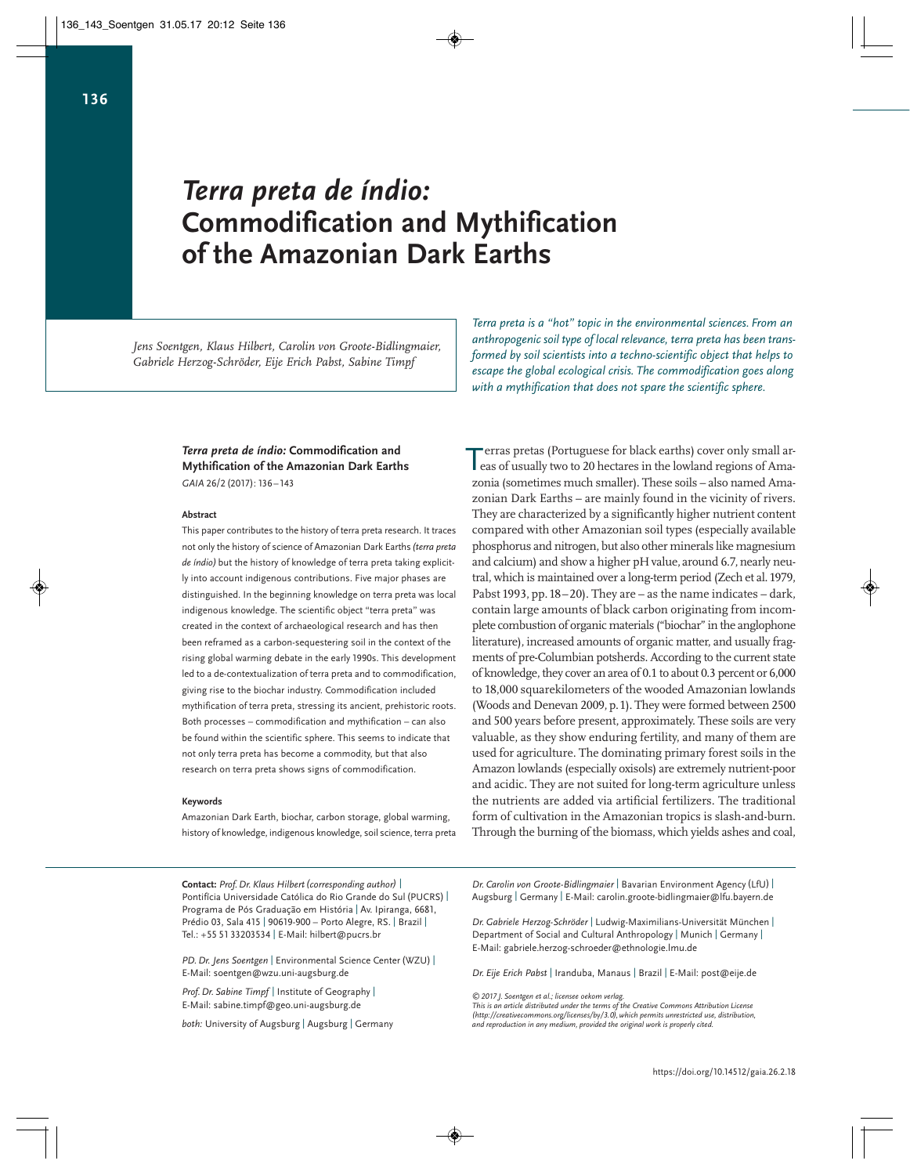# *Terra preta de índio:* **Commodification and Mythification of the Amazonian Dark Earths**

*Jens Soentgen, Klaus Hilbert, Carolin von Groote-Bidlingmaier, Gabriele Herzog-Schröder, Eije Erich Pabst, Sabine Timpf*

> *Terra preta de índio:* **Commodification and Mythification of the Amazonian Dark Earths** GAIA 26/2 (2017): 136-143

### **Abstract**

This paper contributes to the history of terra preta research. It traces not only the history of science of Amazonian Dark Earths *(terra preta de índio)* but the history of knowledge of terra preta taking explicitly into account indigenous contributions. Five major phases are distinguished. In the beginning knowledge on terra preta was local indigenous knowledge. The scientific object "terra preta" was created in the context of archaeological research and has then been reframed as a carbon-sequestering soil in the context of the rising global warming debate in the early 1990s. This development led to a de-contextualization of terra preta and to commodification, giving rise to the biochar industry. Commodification included mythification of terra preta, stressing its ancient, prehistoric roots. Both processes – commodification and mythification – can also be found within the scientific sphere. This seems to indicate that not only terra preta has become a commodity, but that also research on terra preta shows signs of commodification.

### **Keywords**

Amazonian Dark Earth, biochar, carbon storage, global warming, history of knowledge, indigenous knowledge, soil science, terra preta

**Contact:** *Prof. Dr. Klaus Hilbert(corresponding author)* | Pontifícia Universidade Católica do Rio Grande do Sul(PUCRS) | Programa de Pós Graduação em História | Av. Ipiranga, 6681, Prédio 03, Sala 415 | 90619-900 – Porto Alegre, RS. | Brazil | Tel.: +55 51 33203534 | E-Mail: hilbert@pucrs.br

*PD. Dr. Jens Soentgen* | Environmental Science Center(WZU) | E-Mail: soentgen@wzu.uni-augsburg.de

*Prof. Dr. Sabine Timpf* | Institute of Geography | E-Mail: sabine.timpf@geo.uni-augsburg.de

*both:* University of Augsburg | Augsburg | Germany

*Terra preta is a "hot" topic in the environmental sciences. From an anthropogenic soil type of local relevance, terra preta has been transformed by soil scientists into a techno-scientific object that helps to escape the global ecological crisis. The commodification goes along with a mythification that does not spare the scientific sphere.*

erras pretas (Portuguese for black earths) cover only small ar-Terras pretas (Portuguese for black earths) cover only small areas of usually two to 20 hectares in the lowland regions of Amazonia (sometimes much smaller). These soils – also named Amazonian Dark Earths – are mainly found in the vicinity of rivers. They are characterized by a significantly higher nutrient content compared with other Amazonian soil types (especially available phosphorus and nitrogen, but also other minerals like magnesium and calcium) and show a higher pH value, around 6.7, nearly neutral, which is maintained over a long-term period (Zech et al. 1979, Pabst 1993, pp.18–20). They are – as the name indicates – dark, contain large amounts of black carbon originating from incomplete combustion of organic materials ("biochar" in the anglophone literature), increased amounts of organic matter, and usually fragments of pre-Columbian potsherds. According to the current state of knowledge, they cover an area of 0.1 to about 0.3 percent or 6,000 to 18,000 squarekilometers of the wooded Amazonian lowlands (Woods and Denevan 2009, p.1). They were formed between 2500 and 500 years before present, approximately. These soils are very valuable, as they show enduring fertility, and many of them are used for agriculture. The dominating primary forest soils in the Amazon lowlands (especially oxisols) are extremely nutrient-poor and acidic. They are not suited for long-term agriculture unless the nutrients are added via artificial fertilizers. The traditional form of cultivation in the Amazonian tropics is slash-and-burn. Through the burning of the biomass, which yields ashes and coal,

*Dr. Carolin von Groote-Bidlingmaier* | Bavarian Environment Agency (LfU) | Augsburg | Germany | E-Mail: carolin.groote-bidlingmaier@lfu.bayern.de

*Dr. Gabriele Herzog-Schröder* | Ludwig-Maximilians-Universität München | Department of Social and Cultural Anthropology | Munich | Germany | E-Mail: gabriele.herzog-schroeder@ethnologie.lmu.de

*Dr. Eije Erich Pabst* | Iranduba, Manaus | Brazil | E-Mail: post@eije.de

© 2017 J. Soentgen et al.; licensee oekom verlag.<br>This is an article distributed under the terms of the Creative Commons Attribution License<br>(http://creativecommons.org/licenses/by/3.0), which permits unrestricted use, di *and reproduction in any medium, provided the original work is properly cited.*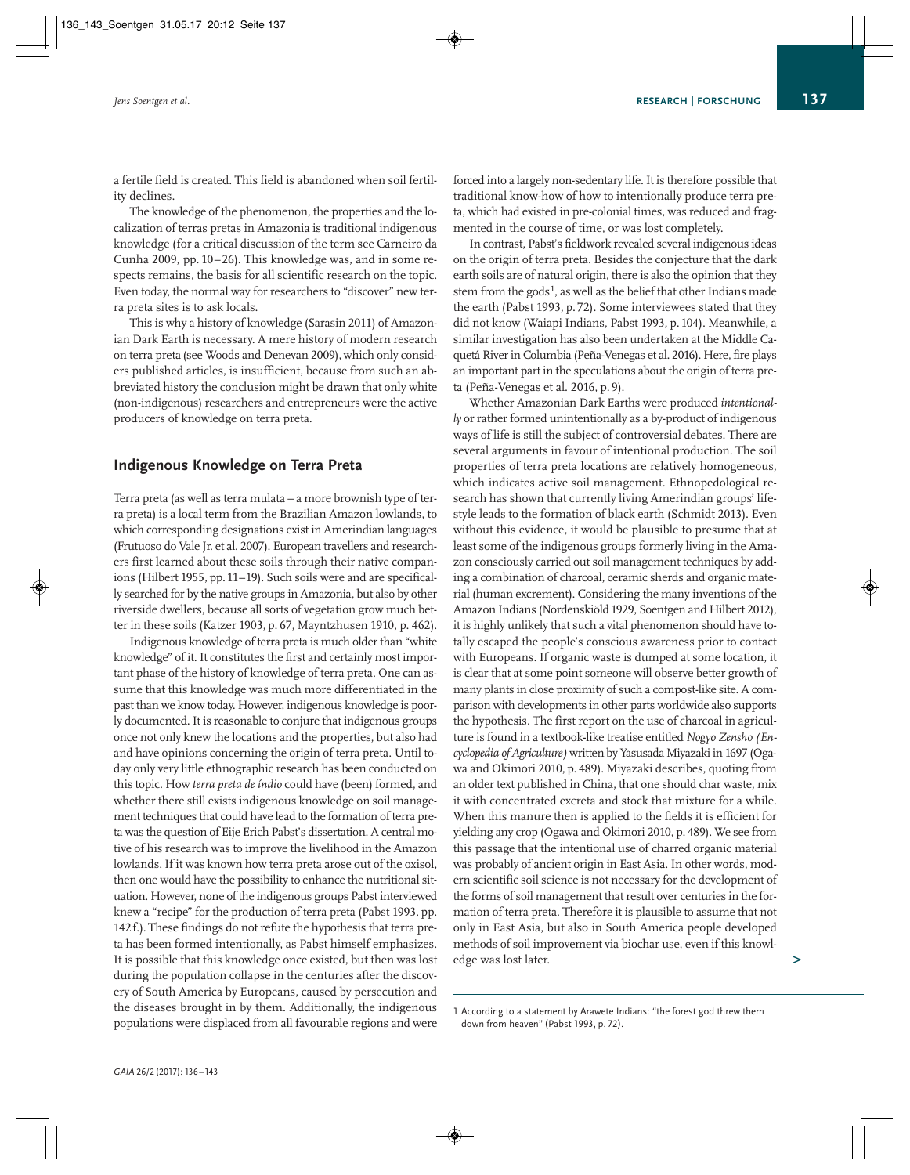a fertile field is created. This field is abandoned when soil fertil ity declines.

The knowledge of the phenomenon, the properties and the localization of terras pretas in Amazonia is traditional indigenous knowledge (for a critical discussion of the term see Carneiro da Cunha 2009, pp. 10–26). This knowledge was, and in some respects remains, the basis for all scientific research on the topic. Even today, the normal way for researchers to "discover" new terra preta sites is to ask locals.

This is why a history of knowledge (Sarasin 2011) of Amazonian Dark Earth is necessary. A mere history of modern research on terra preta (see Woods and Denevan 2009), which only consid ers published articles, is insufficient, because from such an abbreviated history the conclusion might be drawn that only white (non-indigenous) researchers and entrepreneurs were the active producers of knowledge on terra preta.

### **Indigenous Knowledge on Terra Preta**

Terra preta (as well as terra mulata – a more brownish type of terra preta) is a local term from the Brazilian Amazon lowlands, to which corresponding designations exist in Amerindian languages (Frutuoso do Vale Jr. et al. 2007). European travellers and researchers first learned about these soils through their native companions (Hilbert 1955, pp.11–19). Such soils were and are specifical ly searched for by the native groups in Amazonia, but also by other riverside dwellers, because all sorts of vegetation grow much better in these soils (Katzer 1903, p. 67, Mayntzhusen 1910, p. 462).

Indigenous knowledge of terra preta is much older than "white knowledge" of it. It constitutes the first and certainly most important phase of the history of knowledge of terra preta. One can assume that this knowledge was much more differentiated in the past than we know today. However, indigenous knowledge is poorly documented. It is reasonable to conjure that indigenous groups once not only knew the locations and the properties, but also had and have opinions concerning the origin of terra preta. Until today only very little ethnographic research has been conducted on this topic. How *terra preta de índio* could have (been) formed, and whether there still exists indigenous knowledge on soil management techniques that could have lead to the formation of terra preta was the question of Eije Erich Pabst's dissertation. A central motive of his research was to improve the livelihood in the Amazon lowlands. If it was known how terra preta arose out of the oxisol, then one would have the possibility to enhance the nutritional situation. However, none of the indigenous groups Pabst interviewed knew a "recipe" for the production of terra preta (Pabst 1993, pp. 142f.). These findings do not refute the hypothesis that terra preta has been formed intentionally, as Pabst himself emphasizes. It is possible that this knowledge once existed, but then was lost during the population collapse in the centuries after the discovery of South America by Europeans, caused by persecution and the diseases brought in by them. Additionally, the indigenous populations were displaced from all favourable regions and were

forced into a largely non-sedentary life. It is therefore possible that traditional know-how of how to intentionally produce terra preta, which had existed in pre-colonial times, was reduced and frag mented in the course of time, or was lost completely.

In contrast, Pabst's fieldwork revealed several indigenous ideas on the origin of terra preta. Besides the conjecture that the dark earth soils are of natural origin, there is also the opinion that they stem from the gods<sup>1</sup>, as well as the belief that other Indians made the earth (Pabst 1993, p.72). Some interviewees stated that they did not know (Waiapi Indians, Pabst 1993, p.104). Meanwhile, a similar investigation has also been undertaken at the Middle Caquetá River in Columbia (Peña-Venegas et al. 2016). Here, fire plays an important part in the speculations about the origin of terra preta (Peña-Venegas et al. 2016, p. 9).

Whether Amazonian Dark Earths were produced *intentional ly* or rather formed unintentionally as a by-product of indigenous ways of life is still the subject of controversial debates. There are several arguments in favour of intentional production. The soil properties of terra preta locations are relatively homogeneous, which indicates active soil management. Ethnopedological research has shown that currently living Amerindian groups' lifestyle leads to the formation of black earth (Schmidt 2013). Even without this evidence, it would be plausible to presume that at least some of the indigenous groups formerly living in the Amazon consciously carried out soil management techniques by adding a combination of charcoal, ceramic sherds and organic material (human excrement). Considering the many inventions of the Amazon Indians (Nordenskiöld 1929, Soentgen and Hilbert 2012), it is highly unlikely that such a vital phenomenon should have totally escaped the people's conscious awareness prior to contact with Europeans. If organic waste is dumped at some location, it is clear that at some point someone will observe better growth of many plants in close proximity of such a compost-like site. A comparison with developments in other parts worldwide also supports the hypothesis. The first report on the use of charcoal in agriculture is found in a textbook-like treatise entitled *Nogyo Zensho (En cyclopedia of Agriculture)* written by Yasusada Miyazaki in 1697 (Oga wa and Okimori 2010, p. 489). Miyazaki describes, quoting from an older text published in China, that one should char waste, mix it with concentrated excreta and stock that mixture for a while. When this manure then is applied to the fields it is efficient for yielding any crop (Ogawa and Okimori 2010, p. 489). We see from this passage that the intentional use of charred organic material was probably of ancient origin in East Asia. In other words, modern scientific soil science is not necessary for the development of the forms of soil management that result over centuries in the formation of terra preta. Therefore it is plausible to assume that not only in East Asia, but also in South America people developed methods of soil improvement via biochar use, even if this knowledge was lost later.

**>**

<sup>1</sup> According to a statement by Arawete Indians: "the forest god threw them down from heaven" (Pabst 1993, p. 72).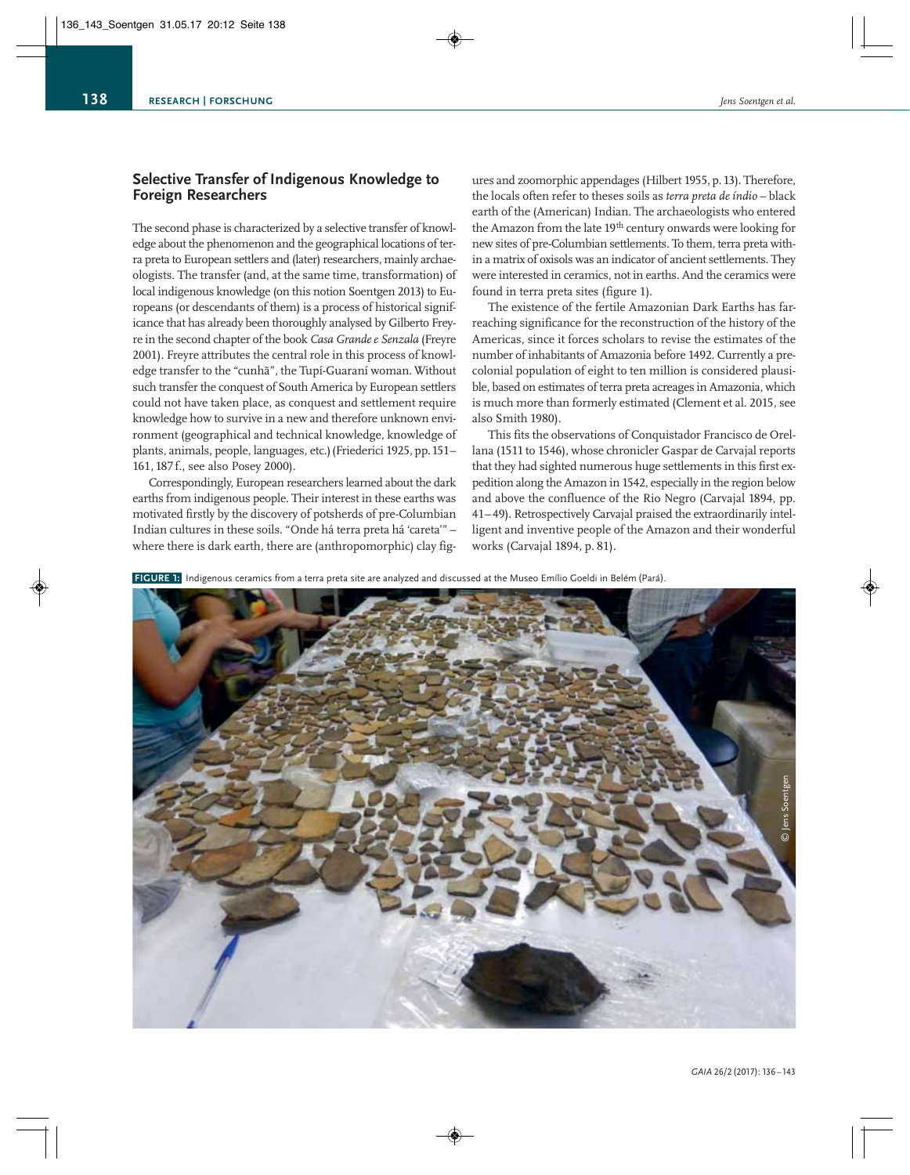# **Selective Transfer of Indigenous Knowledge to Foreign Researchers**

The second phase is characterized by a selective transfer of knowledge about the phenomenon and the geographical locations of terra preta to European settlers and (later) researchers, mainly archae ologists. The transfer (and, at the same time, transformation) of local indigenous knowledge (on this notion Soentgen 2013) to Europeans (or descendants of them) is a process of historical significance that has already been thoroughly analysed by Gilberto Frey re in the second chapter of the book *Casa Grande e Senzala* (Freyre 2001). Freyre attributes the central role in this process of knowledge transfer to the "cunhã", the Tupí-Guaraní woman. Without such transfer the conquest of South America by European settlers could not have taken place, as conquest and settlement require knowledge how to survive in a new and therefore unknown environment (geographical and technical knowledge, knowledge of plants, animals, people, languages, etc.)(Friederici 1925, pp.151– 161, 187 f., see also Posey 2000).

Correspondingly, European researchers learned about the dark earths from indigenous people. Their interest in these earths was motivated firstly by the discovery of potsherds of pre-Columbian Indian cultures in these soils. "Onde há terra preta há 'careta'" – where there is dark earth, there are (anthropomorphic) clay fig-

ures and zoomorphic appendages (Hilbert 1955, p. 13). Therefore, the locals often refer to theses soils as *terra preta de índio* – black earth of the (American) Indian. The archaeologists who entered the Amazon from the late 19<sup>th</sup> century onwards were looking for new sites of pre-Columbian settlements. To them, terra preta within a matrix of oxisols was an indicator of ancient settlements. They were interested in ceramics, not in earths. And the ceramics were found in terra preta sites (figure 1).

The existence of the fertile Amazonian Dark Earths has farreaching significance for the reconstruction of the history of the Americas, since it forces scholars to revise the estimates of the number of inhabitants of Amazonia before 1492. Currently a precolonial population of eight to ten million is considered plausible, based on estimates of terra preta acreages in Amazonia, which is much more than formerly estimated (Clement et al. 2015, see also Smith 1980).

This fits the observations of Conquistador Francisco de Orellana (1511 to 1546), whose chronicler Gaspar de Carvajal reports that they had sighted numerous huge settlements in this first expedition along the Amazon in 1542, especially in the region below and above the confluence of the Rio Negro (Carvajal 1894, pp. 41– 49). Retrospectively Carvajal praised the extraordinarily intel ligent and inventive people of the Amazon and their wonderful works (Carvajal 1894, p. 81).

**FIGURE 1:** Indigenous ceramics from a terra preta site are analyzed and discussed at the Museo Emílio Goeldi in Belém (Pará).

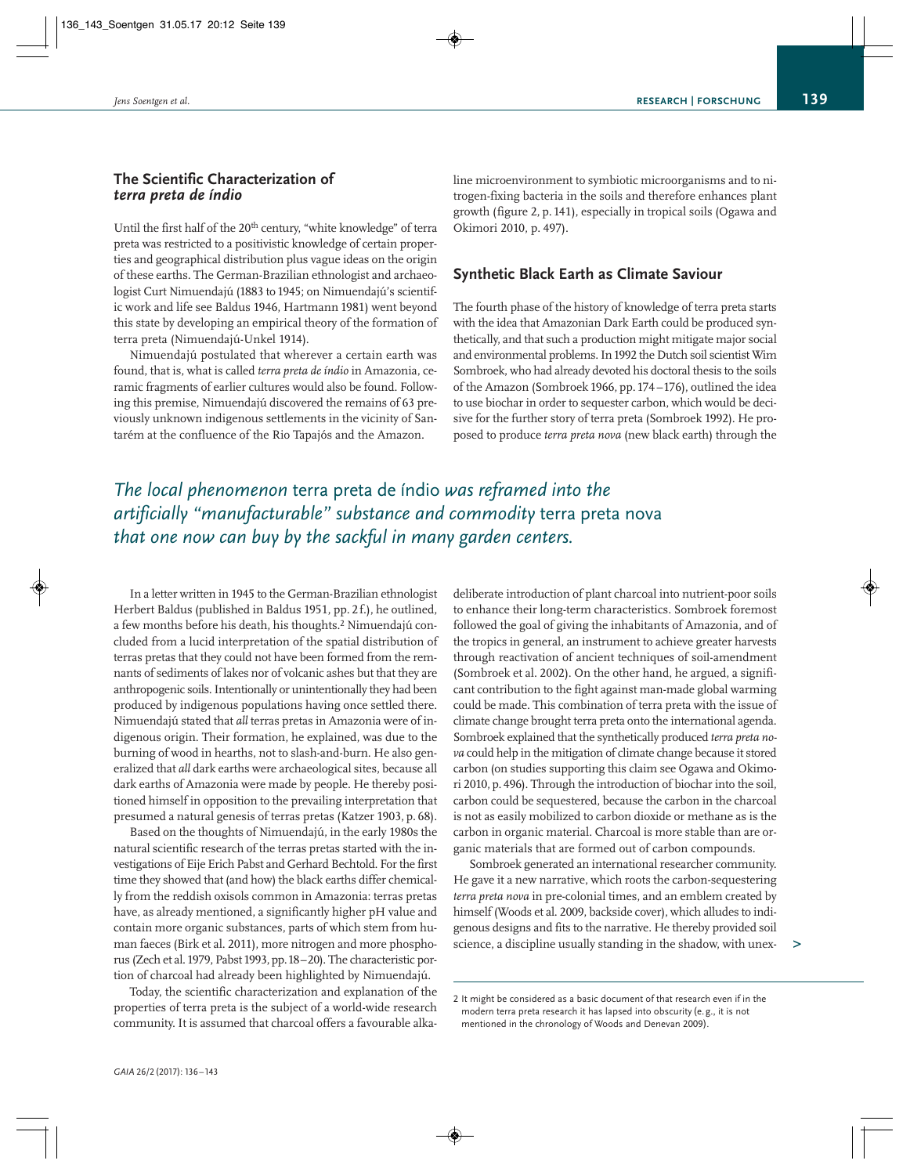# **The Scientific Characterization of**  *terra preta de índio*

Until the first half of the 20<sup>th</sup> century, "white knowledge" of terra preta was restricted to a positivistic knowledge of certain proper ties and geographical distribution plus vague ideas on the origin of these earths. The German-Brazilian ethnologist and archaeo logist Curt Nimuendajú (1883 to 1945; on Nimuendajú's scientific work and life see Baldus 1946, Hartmann 1981) went beyond this state by developing an empirical theory of the formation of terra preta (Nimuendajú-Unkel 1914).

Nimuendajú postulated that wherever a certain earth was found, that is, what is called *terra preta de índio* in Amazonia, ceramic fragments of earlier cultures would also be found. Following this premise, Nimuendajú discovered the remains of 63 previously unknown indigenous settlements in the vicinity of Santarém at the confluence of the Rio Tapajós and the Amazon.

line microenvironment to symbiotic microorganisms and to nitrogen-fixing bacteria in the soils and therefore enhances plant growth (figure 2, p. 141), especially in tropical soils (Ogawa and Okimori 2010, p. 497).

# **Synthetic Black Earth as Climate Saviour**

The fourth phase of the history of knowledge of terra preta starts with the idea that Amazonian Dark Earth could be produced synthetically, and that such a production might mitigate major social and environmental problems. In1992 the Dutch soil scientist Wim Sombroek, who had already devoted his doctoral thesis to the soils of the Amazon (Sombroek 1966, pp.174 –176), outlined the idea to use biochar in order to sequester carbon, which would be deci sive for the further story of terra preta (Sombroek 1992). He proposed to produce *terra preta nova* (new black earth) through the

# *The local phenomenon* terra preta de índio *was reframed into the artificially "manufacturable" substance and commodity* terra preta nova *that one now can buy by the sackful in many garden centers.*

In a letter written in 1945 to the German-Brazilian ethnologist Herbert Baldus (published in Baldus 1951, pp. 2 f.), he outlined, a few months before his death, his thoughts.2 Nimuendajú concluded from a lucid interpretation of the spatial distribution of terras pretas that they could not have been formed from the remnants of sediments of lakes nor of volcanic ashes but that they are anthropogenic soils. Intentionally or unintentionally they had been produced by indigenous populations having once settled there. Nimuendajú stated that *all* terras pretas in Amazonia were of indigenous origin. Their formation, he explained, was due to the burning of wood in hearths, not to slash-and-burn. He also generalized that *all* dark earths were archaeological sites, because all dark earths of Amazonia were made by people. He thereby positioned himself in opposition to the prevailing interpretation that presumed a natural genesis of terras pretas (Katzer 1903, p. 68).

Based on the thoughts of Nimuendajú, in the early 1980s the natural scientific research of the terras pretas started with the inves tigations of Eije Erich Pabst and Gerhard Bechtold. For the first time they showed that (and how) the black earths differ chemically from the reddish oxisols common in Amazonia: terras pretas have, as already mentioned, a significantly higher pH value and contain more organic substances, parts of which stem from human faeces (Birk et al. 2011), more nitrogen and more phosphorus (Zech et al.1979, Pabst1993,pp.18–20). The characteristic portion of charcoal had already been highlighted by Nimuendajú.

Today, the scientific characterization and explanation of the properties of terra preta is the subject of a world-wide research community. It is assumed that charcoal offers a favourable alka -

deliberate introduction of plant charcoal into nutrient-poor soils to enhance their long-term characteristics. Sombroek foremost followed the goal of giving the inhabitants of Amazonia, and of the tropics in general, an instrument to achieve greater harvests through reactivation of ancient techniques of soil-amendment (Sombroek et al. 2002). On the other hand, he argued, a significant contribution to the fight against man-made global warming could be made. This combination of terra preta with the issue of climate change brought terra preta onto the international agenda. Sombroek explained that the synthetically produced *terra preta no va* could help in the mitigation of climate change because it stored carbon (on studies supporting this claim see Ogawa and Okimori 2010, p. 496). Through the introduction of biochar into the soil, carbon could be sequestered, because the carbon in the charcoal is not as easily mobilized to carbon dioxide or methane as is the carbon in organic material. Charcoal is more stable than are organic materials that are formed out of carbon compounds.

Sombroek generated an international researcher community. He gave it a new narrative, which roots the carbon-sequestering *terra preta nova* in pre-colonial times, and an emblem created by himself (Woods et al. 2009, backside cover), which alludes to indigenous designs and fits to the narrative. He thereby provided soil science, a discipline usually standing in the shadow, with unex-

**>**

<sup>2</sup> It might be considered as a basic document of that research even if in the modern terra preta research it has lapsed into obscurity (e. g., it is not mentioned in the chronology of Woods and Denevan 2009).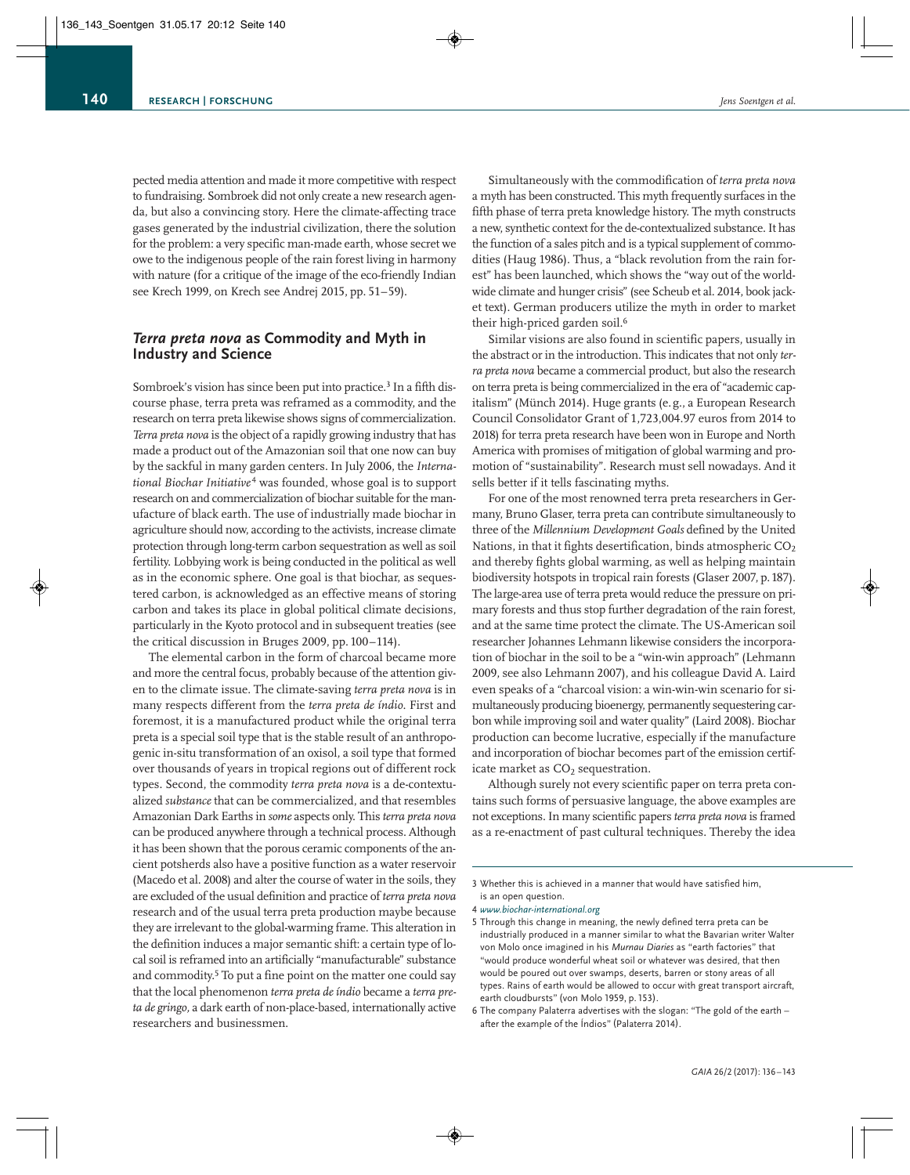pected media attention and made it more competitive with respect to fundraising. Sombroek did not only create a new research agenda, but also a convincing story. Here the climate-affecting trace gases generated by the industrial civilization, there the solution for the problem: a very specific man-made earth, whose secret we owe to the indigenous people of the rain forest living in harmony with nature (for a critique of the image of the eco-friendly Indian see Krech 1999, on Krech see Andrej 2015, pp. 51–59).

# *Terra preta nova* **as Commodity and Myth in Industry and Science**

Sombroek's vision has since been put into practice.<sup>3</sup> In a fifth discourse phase, terra preta was reframed as a commodity, and the research on terra preta likewise shows signs of commercialization. *Terra preta nova* is the object of a rapidly growing industry that has made a product out of the Amazonian soil that one now can buy by the sackful in many garden centers. In July 2006, the *Interna tional Biochar Initiative* <sup>4</sup> was founded, whose goal is to support research on and commercialization of biochar suitable for the manufacture of black earth. The use of industrially made biochar in agriculture should now, according to the activists, increase climate protection through long-term carbon sequestration as well as soil fertility. Lobbying work is being conducted in the political as well as in the economic sphere. One goal is that biochar, as sequestered carbon, is acknowledged as an effective means of storing carbon and takes its place in global political climate decisions, particularly in the Kyoto protocol and in subsequent treaties (see the critical discussion in Bruges 2009, pp. 100–114).

The elemental carbon in the form of charcoal became more and more the central focus, probably because of the attention given to the climate issue. The climate-saving *terra preta nova* is in many respects different from the *terra preta de índio*. First and foremost, it is a manufactured product while the original terra preta is a special soil type that is the stable result of an anthropogenic in-situ transformation of an oxisol, a soil type that formed over thousands of years in tropical regions out of different rock types. Second, the commodity *terra preta nova* is a de-contextualized *substance* that can be commercialized, and that resembles Amazonian Dark Earths in *some* aspects only. This *terra preta nova* can be produced anywhere through a technical process. Although it has been shown that the porous ceramic components of the ancient potsherds also have a positive function as a water reservoir (Macedo et al. 2008) and alter the course of water in the soils, they are excluded of the usual definition and practice of *terra preta nova* research and of the usual terra preta production maybe because they are irrelevant to the global-warming frame. This alteration in the definition induces a major semantic shift: a certain type of local soil is reframed into an artificially "manufacturable" substance and commodity.<sup>5</sup> To put a fine point on the matter one could say that the local phenomenon *terra preta de índio* became a *terra preta de gringo,* a dark earth of non-place-based, internationally active researchers and businessmen.

Simultaneously with the commodification of *terra preta nova* a myth has been constructed. This myth frequently surfaces in the fifth phase of terra preta knowledge history. The myth constructs a new, synthetic context for the de-contextualized substance. It has the function of a sales pitch and is a typical supplement of commodities (Haug 1986). Thus, a "black revolution from the rain forest" has been launched, which shows the "way out of the worldwide climate and hunger crisis" (see Scheub et al. 2014, book jacket text). German producers utilize the myth in order to market their high-priced garden soil.<sup>6</sup>

Similar visions are also found in scientific papers, usually in the abstract or in the introduction. This indicates that not only *terra preta nova* became a commercial product, but also the research on terra preta is being commercialized in the era of "academic capitalism" (Münch 2014). Huge grants (e.g., a European Research Council Consolidator Grant of 1,723,004.97 euros from 2014 to 2018) for terra preta research have been won in Europe and North America with promises of mitigation of global warming and promotion of "sustainability". Research must sell nowadays. And it sells better if it tells fascinating myths.

For one of the most renowned terra preta researchers in Germany, Bruno Glaser, terra preta can contribute simultaneously to three of the *Millennium Development Goals* defined by the United Nations, in that it fights desertification, binds atmospheric CO<sub>2</sub> and thereby fights global warming, as well as helping maintain biodiversity hotspots in tropical rain forests (Glaser 2007, p.187). The large-area use of terra preta would reduce the pressure on primary forests and thus stop further degradation of the rain forest, and at the same time protect the climate. The US-American soil researcher Johannes Lehmann likewise considers the incorpora tion of biochar in the soil to be a "win-win approach" (Lehmann 2009, see also Lehmann 2007), and his colleague David A. Laird even speaks of a "charcoal vision: a win-win-win scenario for simultaneously producing bioenergy, permanently sequestering carbon while improving soil and water quality" (Laird 2008). Biochar production can become lucrative, especially if the manufacture and incorporation of biochar becomes part of the emission certificate market as  $CO<sub>2</sub>$  sequestration.

Although surely not every scientific paper on terra preta contains such forms of persuasive language, the above examples are not exceptions. In many scientific papers *terra preta nova* is framed as a re-enactment of past cultural techniques. Thereby the idea

<sup>3</sup> Whether this is achieved in a manner that would have satisfied him, is an open question.

<sup>4</sup> *www.biochar-international.org*

<sup>5</sup> Through this change in meaning, the newly defined terra preta can be industrially produced in a manner similar to what the Bavarian writer Walter von Molo once imagined in his *Murnau Diaries* as "earth factories" that "would produce wonderful wheat soil or whatever was desired, that then would be poured out over swamps, deserts, barren or stony areas of all types. Rains of earth would be allowed to occur with great transport aircraft, earth cloudbursts" (von Molo 1959, p. 153).

<sup>6</sup> The company Palaterra advertises with the slogan: "The gold of the earth – after the example of the Índios" (Palaterra 2014).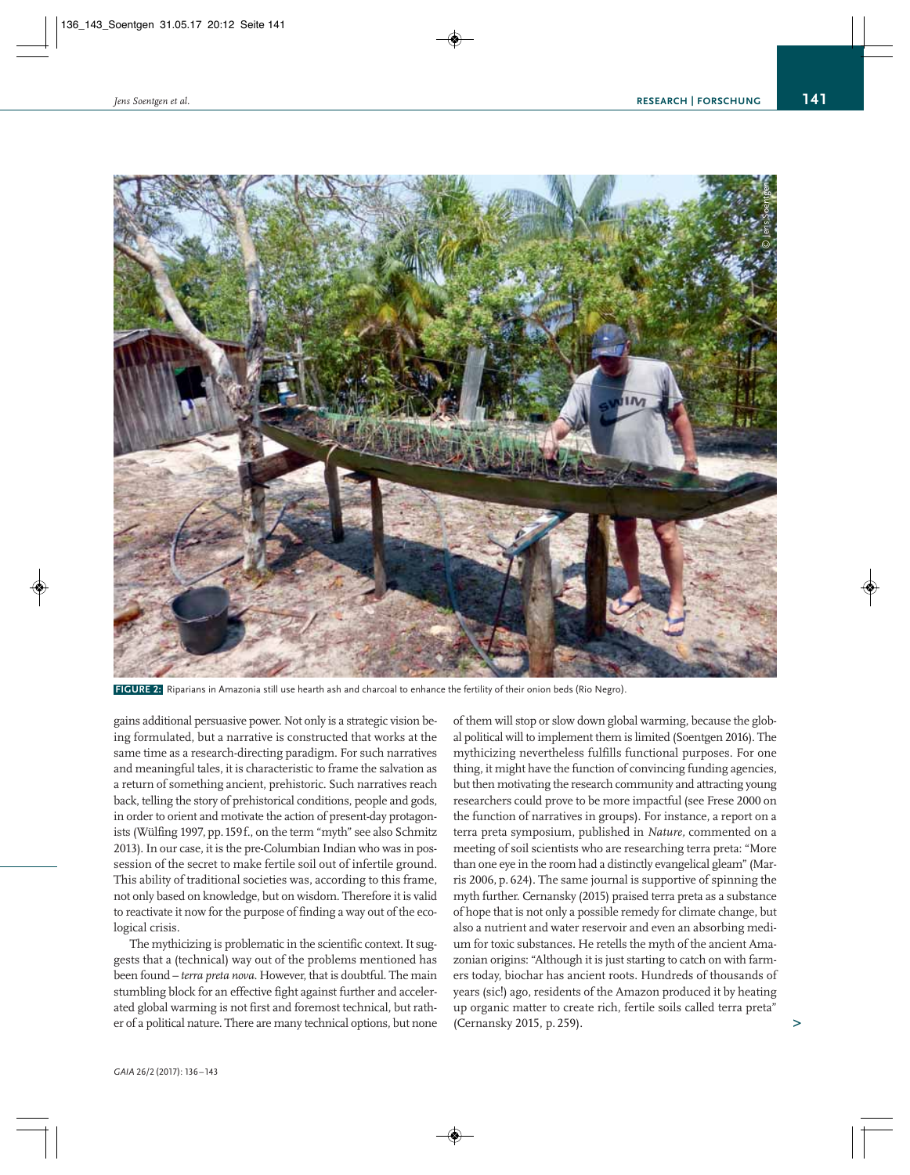

**FIGURE 2:** Riparians in Amazonia still use hearth ash and charcoal to enhance the fertility of their onion beds (Rio Negro).

gains additional persuasive power. Not only is a strategic vision be ing formulated, but a narrative is constructed that works at the same time as a research-directing paradigm. For such narratives and meaningful tales, it is characteristic to frame the salvation as a return of something ancient, prehistoric. Such narratives reach back, telling the story of prehistorical conditions, people and gods, in order to orient and motivate the action of present-day protagonists (Wülfing 1997, pp.159f., on the term "myth" see also Schmitz 2013). In our case, it is the pre-Columbian Indian who was in possession of the secret to make fertile soil out of infertile ground. This ability of traditional societies was, according to this frame, not only based on knowledge, but on wisdom. Therefore it is valid to reactivate it now for the purpose of finding a way out of the ecological crisis.

The mythicizing is problematic in the scientific context. It suggests that a (technical) way out of the problems mentioned has been found – *terra preta nova*. However, that is doubtful. The main stumbling block for an effective fight against further and acceler ated global warming is not first and foremost technical, but rath er of a political nature. There are many technical options, but none

of them will stop or slow down global warming, because the global political will to implement them is limited (Soentgen 2016). The mythicizing nevertheless fulfills functional purposes. For one thing, it might have the function of convincing funding agencies, but then motivating the research community and attracting young researchers could prove to be more impactful (see Frese 2000 on the function of narratives in groups). For instance, a report on a terra preta symposium, published in *Nature,* commented on a meeting of soil scientists who are researching terra preta: "More than one eye in the room had a distinctly evangelical gleam" (Marris 2006, p. 624). The same journal is supportive of spinning the myth further. Cernansky (2015) praised terra preta as a substance of hope that is not only a possible remedy for climate change, but also a nutrient and water reservoir and even an absorbing medium for toxic substances. He retells the myth of the ancient Amazonian origins: "Although it is just starting to catch on with farmers today, biochar has ancient roots. Hundreds of thousands of years (sic!) ago, residents of the Amazon produced it by heating up organic matter to create rich, fertile soils called terra preta" (Cernansky 2015, p. 259).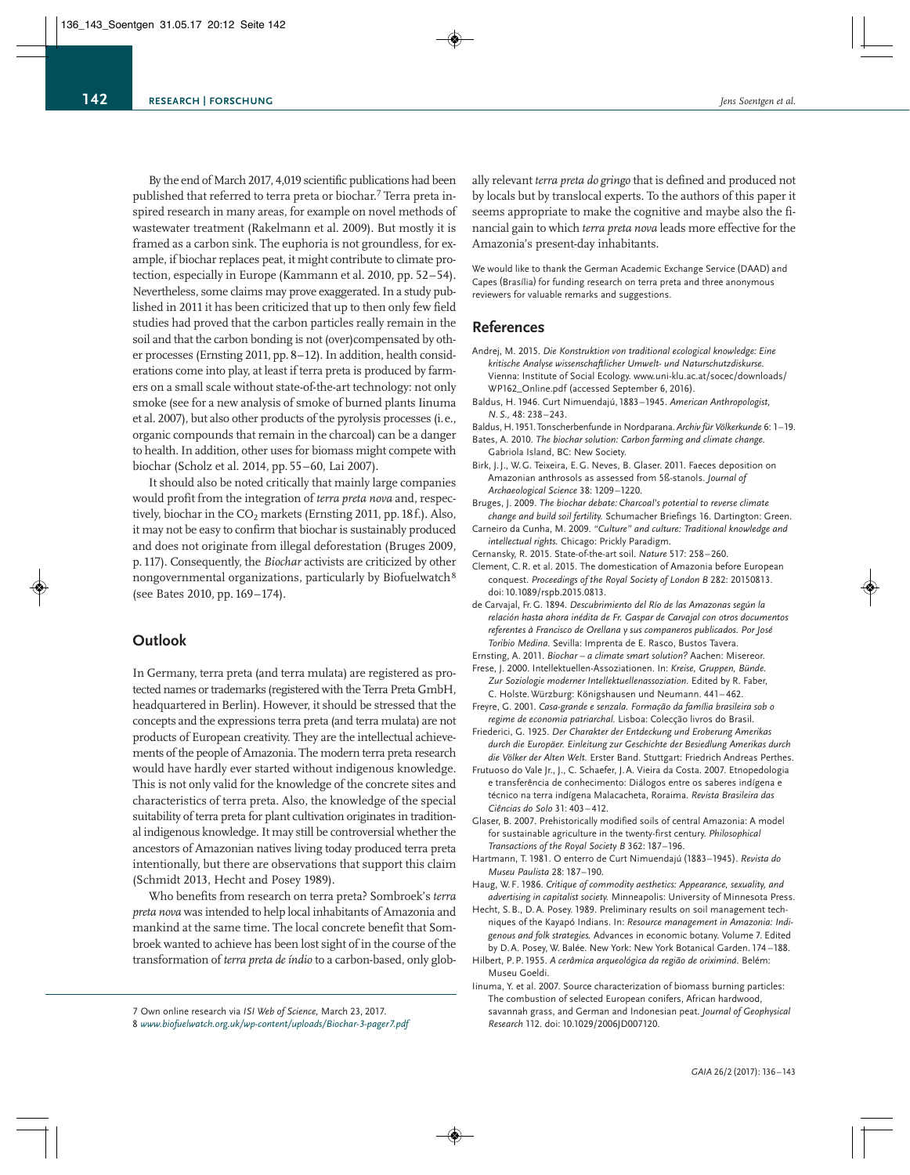By the end of March 2017, 4,019 scientific publications had been published that referred to terra preta or biochar.<sup>7</sup> Terra preta inspired research in many areas, for example on novel methods of wastewater treatment (Rakelmann et al. 2009). But mostly it is framed as a carbon sink. The euphoria is not groundless, for example, if biochar replaces peat, it might contribute to climate protection, especially in Europe (Kammann et al. 2010, pp. 52–54). Nevertheless, some claims may prove exaggerated. In a study published in 2011 it has been criticized that up to then only few field studies had proved that the carbon particles really remain in the soil and that the carbon bonding is not (over)compensated by other processes (Ernsting 2011, pp. 8–12). In addition, health consid erations come into play, at least if terra preta is produced by farmers on a small scale without state-of-the-art technology: not only smoke (see for a new analysis of smoke of burned plants Iinuma et al. 2007), but also other products of the pyrolysis processes (i.e., organic compounds that remain in the charcoal) can be a danger to health. In addition, other uses for biomass might compete with biochar (Scholz et al. 2014, pp. 55–60, Lai 2007).

It should also be noted critically that mainly large companies would profit from the integration of *terra preta nova* and, respectively, biochar in the CO<sub>2</sub> markets (Ernsting 2011, pp. 18f.). Also, it may not be easy to confirm that biochar is sustainably produced and does not originate from illegal deforestation (Bruges 2009, p.117). Consequently, the *Biochar* activists are criticized by other nongovernmental organizations, particularly by Biofuelwatch8 (see Bates 2010, pp. 169–174).

## **Outlook**

In Germany, terra preta (and terra mulata) are registered as protected names or trademarks (registered with the Terra Preta GmbH, headquartered in Berlin). However, it should be stressed that the concepts and the expressions terra preta (and terra mulata) are not products of European creativity. They are the intellectual achievements of the people of Amazonia. The modern terra preta research would have hardly ever started without indigenous knowledge. This is not only valid for the knowledge of the concrete sites and characteristics of terra preta. Also, the knowledge of the special suitability of terra preta for plant cultivation originates in traditional indigenous knowledge. It may still be controversial whether the ancestors of Amazonian natives living today produced terra preta intentionally, but there are observations that support this claim (Schmidt 2013, Hecht and Posey 1989).

Who benefits from research on terra preta? Sombroek's *terra preta nova* was intended to help local inhabitants of Amazonia and mankind at the same time. The local concrete benefit that Sombroek wanted to achieve has been lost sight of in the course of the transformation of *terra preta de índio* to a carbon-based, only glob-

ally relevant *terra preta do gringo* that is defined and produced not by locals but by translocal experts. To the authors of this paper it seems appropriate to make the cognitive and maybe also the financial gain to which *terra preta nova* leads more effective for the Amazonia's present-day inhabitants.

We would like to thank the German Academic Exchange Service (DAAD) and Capes (Brasília) for funding research on terra preta and three anonymous reviewers for valuable remarks and suggestions.

# **References**

- Andrej, M. 2015. *Die Konstruktion von traditional ecological knowledge: Eine kritische Analyse wissenschaftlicher Umwelt- und Naturschutzdiskurse.* Vienna: Institute of Social Ecology. www.uni-klu.ac.at/socec/downloads/ WP162\_Online.pdf (accessed September 6, 2016).
- Baldus, H. 1946. Curt Nimuendajú, 1883–1945. *American Anthropologist, N. S.,* 48: 238–243.
- Baldus, H.1951.Tonscherbenfunde in Nordparana. *Archiv für Völkerkunde* 6: 1–19. Bates, A. 2010. *The biochar solution: Carbon farming and climate change.*

Gabriola Island, BC: New Society.

- Birk, J. J., W. G. Teixeira, E. G. Neves, B. Glaser. 2011. Faeces deposition on Amazonian anthrosols as assessed from 5ß-stanols. *Journal of Archaeological Science* 38: 1209–1220.
- Bruges, J. 2009. *The biochar debate: Charcoal's potential to reverse climate change and build soil fertility.* Schumacher Briefings 16. Dartington: Green.
- Carneiro da Cunha, M. 2009. *"Culture" and culture: Traditional knowledge and intellectual rights.* Chicago: Prickly Paradigm.
- Cernansky, R. 2015. State-of-the-art soil. *Nature* 517: 258–260.
- Clement, C. R. et al. 2015. The domestication of Amazonia before European conquest. *Proceedings of the Royal Society of London B* 282: 20150813. doi: 10.1089/rspb.2015.0813.
- de Carvajal, Fr. G. 1894. *Descubrimiento del Río de las Amazonas según la relación hasta ahora inédita de Fr. Gaspar de Carvajal con otros documentos referentes à Francisco de Orellana y sus companeros publicados. Por José Toribio Medina.* Sevilla: Imprenta de E. Rasco, Bustos Tavera.

Ernsting, A. 2011. *Biochar – a climate smart solution?* Aachen: Misereor.

- Frese, J. 2000. Intellektuellen-Assoziationen. In: *Kreise, Gruppen, Bünde. Zur Soziologie moderner Intellektuellenassoziation.* Edited by R. Faber, C. Holste. Würzburg: Königshausen und Neumann. 441– 462.
- Freyre, G. 2001. *Casa-grande e senzala. Formação da família brasileira sob o regime de economia patriarchal.* Lisboa: Colecção livros do Brasil.
- Friederici, G. 1925. *Der Charakter der Entdeckung und Eroberung Amerikas durch die Europäer. Einleitung zur Geschichte der Besiedlung Amerikas durch die Völker der Alten Welt.* Erster Band. Stuttgart: Friedrich Andreas Perthes.
- Frutuoso do Vale Jr., J., C. Schaefer, J.A. Vieira da Costa. 2007. Etnopedologia e transferência de conhecimento: Diálogos entre os saberes indígena e técnico na terra indígena Malacacheta, Roraima. *Revista Brasileira das Ciências do Solo* 31: 403– 412.
- Glaser, B. 2007. Prehistorically modified soils of central Amazonia: A model for sustainable agriculture in the twenty-first century. *Philosophical Transactions of the Royal Society B* 362: 187–196.
- Hartmann, T. 1981. O enterro de Curt Nimuendajú (1883–1945). *Revista do Museu Paulista* 28: 187–190.
- Haug, W. F. 1986. *Critique of commodity aesthetics: Appearance, sexuality, and advertising in capitalist society.* Minneapolis: University of Minnesota Press.
- Hecht, S. B., D. A. Posey. 1989. Preliminary results on soil management techni ques of the Kayapó Indians. In: *Resource management in Amazonia: Indigenous and folk strategies.* Advances in economic botany. Volume 7. Edited by D. A. Posey, W. Balée. New York: New York Botanical Garden. 174 –188.
- Hilbert, P. P. 1955. *A cerâmica arqueológica da região de oriximiná.* Belém: Museu Goeldi.
- Iinuma, Y. et al. 2007. Source characterization of biomass burning particles: The combustion of selected European conifers, African hardwood, savannah grass, and German and Indonesian peat. *Journal of Geophysical Research* 112. doi: 10.1029/2006JD007120.

<sup>7</sup> Own online research via *ISI Web of Science,* March 23, 2017.

<sup>8</sup> *www.biofuelwatch.org.uk/wp-content/uploads/Biochar-3-pager7.pdf*